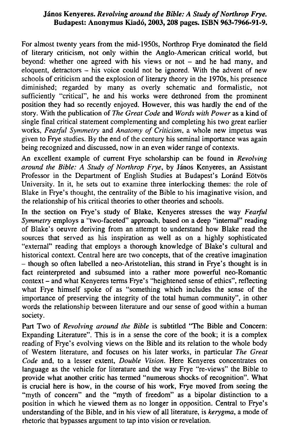## **Jánoš Kenyeres.** *Revolving around the Bible: A Study of Northrop Frye.*  **Budapest: Anonymus Kiado, 2003,208 pages. ISBN 963-7966-91-9.**

For almost twenty years from the mid-1950s, Northrop Frye dominated the field of literary criticism, not only within the Anglo-American critical world, but beyond: whether one agreed with his views or not  $-$  and he had many, and eloquent, detractors  $-$  his voice could not be ignored. With the advent of new schools of criticism and the explosion of literary theory in the 1970s, his presence diminished; regarded by many as overly schematic and formalistic, not sufficiently "critical", he and his works were dethroned from the prominent position they had so recently enjoyed. However, this was hardly the end of the story. With the publication of *The Great Code* and *Words with Power* as a kind of single final critical statement complementing and completing his two great earlier works, *Fearful Symmetry* and *Anatomy of Criticism,* a whole new impetus was given to Frye studies. By the end of the century his seminal importance was again being recognized and discussed, now in an even wider range of contexts.

An excellent example of current Frye scholarship can be found in *Revolving around the Bible: A Study of Northrop Frye,* by Jánoš Kenyeres, an Assistant Professor in the Department of English Studies at Budapest's Loránd Eötvös University. In it, he sets out to examine three interlocking themes: the role of Blake in Frye's thought, the centrality of the Bible to his imaginative vision, and the relationship of his critical theories to other theories and schools.

In the section on Frye's study of Blake, Kenyeres stresses the way *Fearful Symmetry* employs a "two-faceted" approach, based on a deep "intemal" reading of Blake's oeuvre deriving from an attempt to understand how Blake read the sources that served as his inspiration as well as on a highly sophisticated "external" reading that employs a thorough knowledge of Blake's cultural and historical context. Central here are two concepts, that of the creative imagination - though so often labelled a neo-Aristotelian, this strand in Frye's thought is in fact reinterpreted and subsumed into a rather more powerful neo-Romantic context - and what Kenyeres terms Frye's "heightened sense of ethics", reflecting what Frye himself spoke of as "something which includes the sense of the importance of preserving the integrity of the total human community", in other words the relationship between literature and our sense of good within a human society.

Part Two of *Revolving around the Bible* is subtitled "The Bible and Concern: Expanding Literature". This is in a sense the core of the book; it is a complex reading of Frye's evolving views on the Bible and its relation to the whole body of Western literature, and focuses on his later works, in particular *The Great Code* and, to a lesser extent, *Double Vision.* Here Kenyeres concentrates on language as the vehicle for literature and the way Frye "re-views" the Bible to provide what another critic has termed "numerous shocks- of recognition". What is crucial here is how, in the course of his work, Frye moved from seeing the "myth of concern" and the "myth of freedom" as a bipolar distinction to a position in which he viewed them as no longer in opposition. Central to Frye's understanding of the Bible, and in his view of all literature, is *kerygma*, a mode of rhetoric that bypasses argument to tap into vision or revelation.